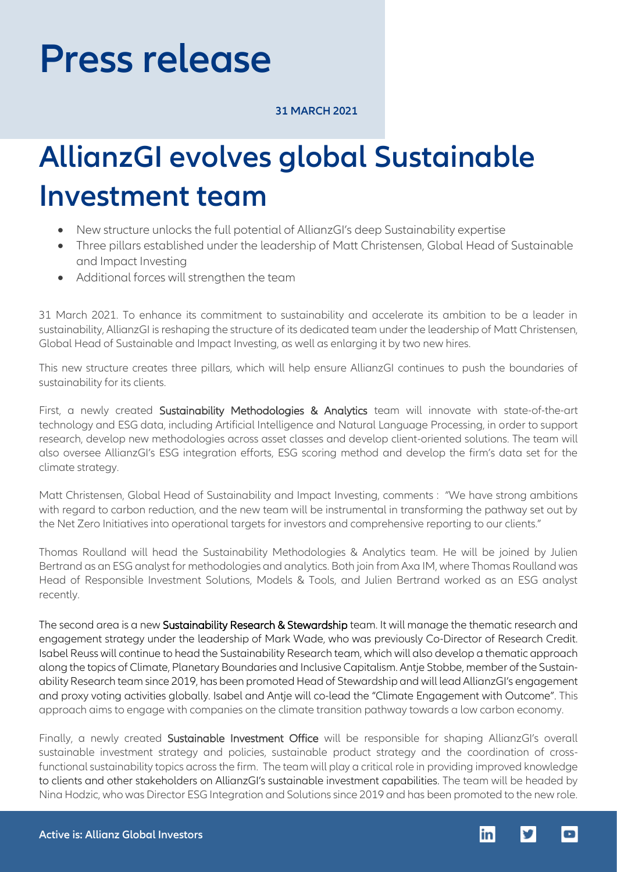# **Press release**

### **31 MARCH 2021**

## **AllianzGI evolves global Sustainable Investment team**

- New structure unlocks the full potential of AllianzGI's deep Sustainability expertise
- Three pillars established under the leadership of Matt Christensen, Global Head of Sustainable and Impact Investing
- Additional forces will strengthen the team

31 March 2021. To enhance its commitment to sustainability and accelerate its ambition to be a leader in sustainability, AllianzGI is reshaping the structure of its dedicated team under the leadership of Matt Christensen, Global Head of Sustainable and Impact Investing, as well as enlarging it by two new hires.

This new structure creates three pillars, which will help ensure AllianzGI continues to push the boundaries of sustainability for its clients.

First, a newly created Sustainability Methodologies & Analytics team will innovate with state-of-the-art technology and ESG data, including Artificial Intelligence and Natural Language Processing, in order to support research, develop new methodologies across asset classes and develop client-oriented solutions. The team will also oversee AllianzGI's ESG integration efforts, ESG scoring method and develop the firm's data set for the climate strategy.

Matt Christensen, Global Head of Sustainability and Impact Investing, comments : "We have strong ambitions with regard to carbon reduction, and the new team will be instrumental in transforming the pathway set out by the Net Zero Initiatives into operational targets for investors and comprehensive reporting to our clients."

Thomas Roulland will head the Sustainability Methodologies & Analytics team. He will be joined by Julien Bertrand as an ESG analyst for methodologies and analytics. Both join from Axa IM, where Thomas Roulland was Head of Responsible Investment Solutions, Models & Tools, and Julien Bertrand worked as an ESG analyst recently.

The second area is a new Sustainability Research & Stewardship team. It will manage the thematic research and engagement strategy under the leadership of Mark Wade, who was previously Co-Director of Research Credit. Isabel Reuss will continue to head the Sustainability Research team, which will also develop a thematic approach along the topics of Climate, Planetary Boundaries and Inclusive Capitalism. Antje Stobbe, member of the Sustainability Research team since 2019, has been promoted Head of Stewardship and will lead AllianzGI's engagement and proxy voting activities globally. Isabel and Antje will co-lead the "Climate Engagement with Outcome". This approach aims to engage with companies on the climate transition pathway towards a low carbon economy.

Finally, a newly created Sustainable Investment Office will be responsible for shaping AllianzGI's overall sustainable investment strategy and policies, sustainable product strategy and the coordination of crossfunctional sustainability topics across the firm. The team will play a critical role in providing improved knowledge to clients and other stakeholders on AllianzGI's sustainable investment capabilities. The team will be headed by Nina Hodzic, who was Director ESG Integration and Solutions since 2019 and has been promoted to the new role.

 $\overline{\phantom{a}}$ 

linl

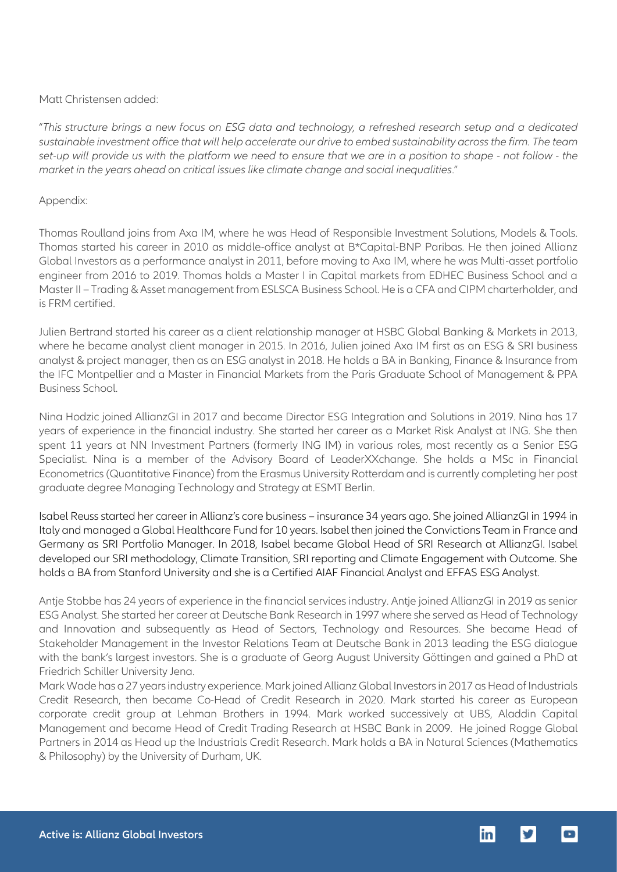### Matt Christensen added:

"*This structure brings a new focus on ESG data and technology, a refreshed research setup and a dedicated sustainable investment office that will help accelerate our drive to embed sustainability across the firm. The team set-up will provide us with the platform we need to ensure that we are in a position to shape - not follow - the market in the years ahead on critical issues like climate change and social inequalities*."

### Appendix:

Thomas Roulland joins from Axa IM, where he was Head of Responsible Investment Solutions, Models & Tools. Thomas started his career in 2010 as middle-office analyst at B\*Capital-BNP Paribas. He then joined Allianz Global Investors as a performance analyst in 2011, before moving to Axa IM, where he was Multi-asset portfolio engineer from 2016 to 2019. Thomas holds a Master I in Capital markets from EDHEC Business School and a Master II – Trading & Asset management from ESLSCA Business School. He is a CFA and CIPM charterholder, and is FRM certified.

Julien Bertrand started his career as a client relationship manager at HSBC Global Banking & Markets in 2013, where he became analyst client manager in 2015. In 2016, Julien joined Axa IM first as an ESG & SRI business analyst & project manager, then as an ESG analyst in 2018. He holds a BA in Banking, Finance & Insurance from the IFC Montpellier and a Master in Financial Markets from the Paris Graduate School of Management & PPA Business School.

Nina Hodzic joined AllianzGI in 2017 and became Director ESG Integration and Solutions in 2019. Nina has 17 years of experience in the financial industry. She started her career as a Market Risk Analyst at ING. She then spent 11 years at NN Investment Partners (formerly ING IM) in various roles, most recently as a Senior ESG Specialist. Nina is a member of the Advisory Board of LeaderXXchange. She holds a MSc in Financial Econometrics (Quantitative Finance) from the Erasmus University Rotterdam and is currently completing her post graduate degree Managing Technology and Strategy at ESMT Berlin.

Isabel Reuss started her career in Allianz's core business – insurance 34 years ago. She joined AllianzGI in 1994 in Italy and managed a Global Healthcare Fund for 10 years. Isabel then joined the Convictions Team in France and Germany as SRI Portfolio Manager. In 2018, Isabel became Global Head of SRI Research at AllianzGI. Isabel developed our SRI methodology, Climate Transition, SRI reporting and Climate Engagement with Outcome. She holds a BA from Stanford University and she is a Certified AIAF Financial Analyst and EFFAS ESG Analyst.

Antje Stobbe has 24 years of experience in the financial services industry. Antje joined AllianzGI in 2019 as senior ESG Analyst. She started her career at Deutsche Bank Research in 1997 where she served as Head of Technology and Innovation and subsequently as Head of Sectors, Technology and Resources. She became Head of Stakeholder Management in the Investor Relations Team at Deutsche Bank in 2013 leading the ESG dialogue with the bank's largest investors. She is a graduate of Georg August University Göttingen and gained a PhD at Friedrich Schiller University Jena.

Mark Wade has a 27 years industry experience. Mark joined Allianz Global Investors in 2017 as Head of Industrials Credit Research, then became Co-Head of Credit Research in 2020. Mark started his career as European corporate credit group at Lehman Brothers in 1994. Mark worked successively at UBS, Aladdin Capital Management and became Head of Credit Trading Research at HSBC Bank in 2009. He joined Rogge Global Partners in 2014 as Head up the Industrials Credit Research. Mark holds a BA in Natural Sciences (Mathematics & Philosophy) by the University of Durham, UK.